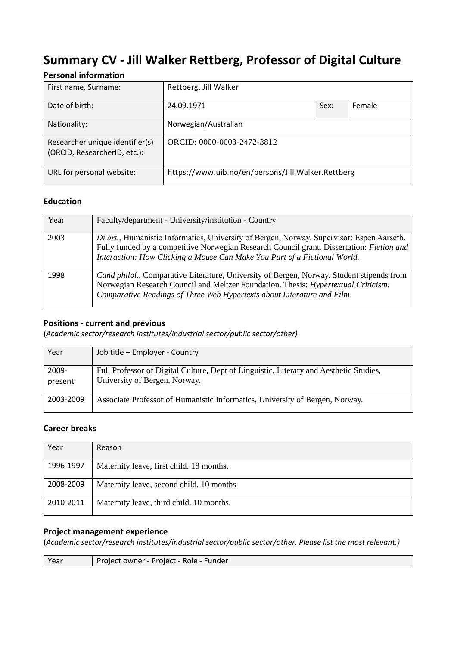# **Summary CV - Jill Walker Rettberg, Professor of Digital Culture**

# **Personal information**

| First name, Surname:                                            | Rettberg, Jill Walker                              |      |        |
|-----------------------------------------------------------------|----------------------------------------------------|------|--------|
| Date of birth:                                                  | 24.09.1971                                         | Sex: | Female |
| Nationality:                                                    | Norwegian/Australian                               |      |        |
| Researcher unique identifier(s)<br>(ORCID, ResearcherID, etc.): | ORCID: 0000-0003-2472-3812                         |      |        |
| URL for personal website:                                       | https://www.uib.no/en/persons/Jill.Walker.Rettberg |      |        |

# **Education**

| Year | Faculty/department - University/institution - Country                                                                                                                                                                                                                      |
|------|----------------------------------------------------------------------------------------------------------------------------------------------------------------------------------------------------------------------------------------------------------------------------|
| 2003 | Dr.art., Humanistic Informatics, University of Bergen, Norway. Supervisor: Espen Aarseth.<br>Fully funded by a competitive Norwegian Research Council grant. Dissertation: <i>Fiction and</i><br>Interaction: How Clicking a Mouse Can Make You Part of a Fictional World. |
| 1998 | Cand philol., Comparative Literature, University of Bergen, Norway. Student stipends from<br>Norwegian Research Council and Meltzer Foundation. Thesis: <i>Hypertextual Criticism</i> :<br>Comparative Readings of Three Web Hypertexts about Literature and Film.         |

# **Positions - current and previous**

(*Academic sector/research institutes/industrial sector/public sector/other)*

| Year             | Job title - Employer - Country                                                                                          |
|------------------|-------------------------------------------------------------------------------------------------------------------------|
| 2009-<br>present | Full Professor of Digital Culture, Dept of Linguistic, Literary and Aesthetic Studies,<br>University of Bergen, Norway. |
| 2003-2009        | Associate Professor of Humanistic Informatics, University of Bergen, Norway.                                            |

# **Career breaks**

| Year      | Reason                                   |
|-----------|------------------------------------------|
| 1996-1997 | Maternity leave, first child. 18 months. |
| 2008-2009 | Maternity leave, second child. 10 months |
| 2010-2011 | Maternity leave, third child. 10 months. |

## **Project management experience**

(*Academic sector/research institutes/industrial sector/public sector/other. Please list the most relevant.)*

| Voor<br>Project owner - Project<br>. - Role I<br>Funder<br>car |
|----------------------------------------------------------------|
|----------------------------------------------------------------|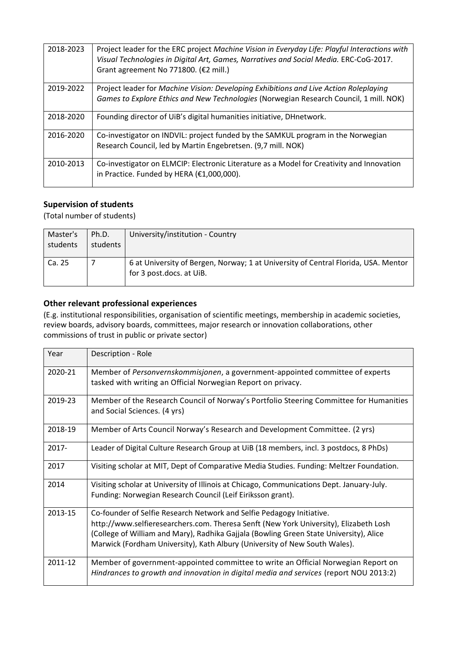| 2018-2023 | Project leader for the ERC project Machine Vision in Everyday Life: Playful Interactions with<br>Visual Technologies in Digital Art, Games, Narratives and Social Media. ERC-CoG-2017.<br>Grant agreement No 771800. (€2 mill.) |
|-----------|---------------------------------------------------------------------------------------------------------------------------------------------------------------------------------------------------------------------------------|
| 2019-2022 | Project leader for Machine Vision: Developing Exhibitions and Live Action Roleplaying<br>Games to Explore Ethics and New Technologies (Norwegian Research Council, 1 mill. NOK)                                                 |
| 2018-2020 | Founding director of UiB's digital humanities initiative, DHnetwork.                                                                                                                                                            |
| 2016-2020 | Co-investigator on INDVIL: project funded by the SAMKUL program in the Norwegian<br>Research Council, led by Martin Engebretsen. (9,7 mill. NOK)                                                                                |
| 2010-2013 | Co-investigator on ELMCIP: Electronic Literature as a Model for Creativity and Innovation<br>in Practice. Funded by HERA (€1,000,000).                                                                                          |

## **Supervision of students**

(Total number of students)

| Master's<br>students | Ph.D.<br>students | University/institution - Country                                                                               |
|----------------------|-------------------|----------------------------------------------------------------------------------------------------------------|
| Ca. 25               |                   | 6 at University of Bergen, Norway; 1 at University of Central Florida, USA. Mentor<br>for 3 post.docs. at UiB. |

# **Other relevant professional experiences**

(E.g. institutional responsibilities, organisation of scientific meetings, membership in academic societies, review boards, advisory boards, committees, major research or innovation collaborations, other commissions of trust in public or private sector)

| Year    | Description - Role                                                                                                                                                                                                                                                                                                                     |
|---------|----------------------------------------------------------------------------------------------------------------------------------------------------------------------------------------------------------------------------------------------------------------------------------------------------------------------------------------|
| 2020-21 | Member of Personvernskommisjonen, a government-appointed committee of experts<br>tasked with writing an Official Norwegian Report on privacy.                                                                                                                                                                                          |
| 2019-23 | Member of the Research Council of Norway's Portfolio Steering Committee for Humanities<br>and Social Sciences. (4 yrs)                                                                                                                                                                                                                 |
| 2018-19 | Member of Arts Council Norway's Research and Development Committee. (2 yrs)                                                                                                                                                                                                                                                            |
| 2017-   | Leader of Digital Culture Research Group at UiB (18 members, incl. 3 postdocs, 8 PhDs)                                                                                                                                                                                                                                                 |
| 2017    | Visiting scholar at MIT, Dept of Comparative Media Studies. Funding: Meltzer Foundation.                                                                                                                                                                                                                                               |
| 2014    | Visiting scholar at University of Illinois at Chicago, Communications Dept. January-July.<br>Funding: Norwegian Research Council (Leif Eiriksson grant).                                                                                                                                                                               |
| 2013-15 | Co-founder of Selfie Research Network and Selfie Pedagogy Initiative.<br>http://www.selfieresearchers.com. Theresa Senft (New York University), Elizabeth Losh<br>(College of William and Mary), Radhika Gajjala (Bowling Green State University), Alice<br>Marwick (Fordham University), Kath Albury (University of New South Wales). |
| 2011-12 | Member of government-appointed committee to write an Official Norwegian Report on<br>Hindrances to growth and innovation in digital media and services (report NOU 2013:2)                                                                                                                                                             |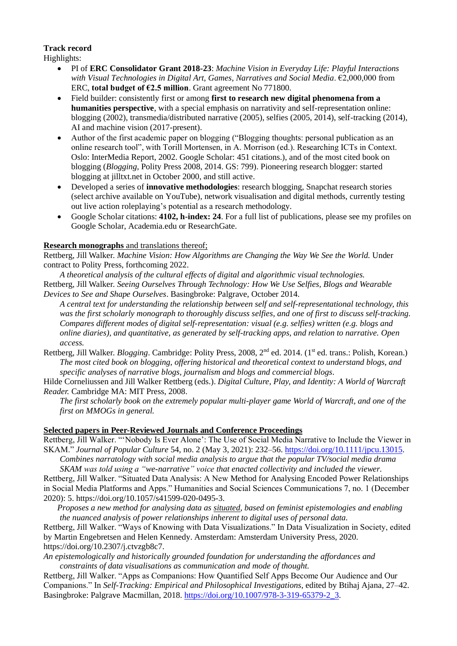## **Track record**

Highlights:

- PI of **ERC Consolidator Grant 2018-23**: *Machine Vision in Everyday Life: Playful Interactions with Visual Technologies in Digital Art, Games, Narratives and Social Media*. €2,000,000 from ERC, **total budget of €2.5 million**. Grant agreement No 771800.
- Field builder: consistently first or among **first to research new digital phenomena from a humanities perspective**, with a special emphasis on narrativity and self-representation online: blogging (2002), transmedia/distributed narrative (2005), selfies (2005, 2014), self-tracking (2014), AI and machine vision (2017-present).
- Author of the first academic paper on blogging ("Blogging thoughts: personal publication as an online research tool", with Torill Mortensen, in A. Morrison (ed.). Researching ICTs in Context. Oslo: InterMedia Report, 2002. Google Scholar: 451 citations.), and of the most cited book on blogging (*Blogging*, Polity Press 2008, 2014. GS: 799). Pioneering research blogger: started blogging at jilltxt.net in October 2000, and still active.
- Developed a series of **innovative methodologies**: research blogging, Snapchat research stories (select archive available on YouTube), network visualisation and digital methods, currently testing out live action roleplaying's potential as a research methodology.
- Google Scholar citations: **4102, h-index: 24**. For a full list of publications, please see my profiles on Google Scholar, Academia.edu or ResearchGate.

## **Research monographs** and translations thereof;

Rettberg, Jill Walker. *Machine Vision: How Algorithms are Changing the Way We See the World.* Under contract to Polity Press, forthcoming 2022.

*A theoretical analysis of the cultural effects of digital and algorithmic visual technologies.* Rettberg, Jill Walker. *Seeing Ourselves Through Technology: How We Use Selfies, Blogs and Wearable Devices to See and Shape Ourselves*. Basingbroke: Palgrave, October 2014.

*A central text for understanding the relationship between self and self-representational technology, this was the first scholarly monograph to thoroughly discuss selfies, and one of first to discuss self-tracking. Compares different modes of digital self-representation: visual (e.g. selfies) written (e.g. blogs and online diaries), and quantitative, as generated by self-tracking apps, and relation to narrative. Open access.*

Rettberg, Jill Walker. *Blogging*. Cambridge: Polity Press, 2008, 2<sup>nd</sup> ed. 2014. (1<sup>st</sup> ed. trans.: Polish, Korean.) *The most cited book on blogging, offering historical and theoretical context to understand blogs, and specific analyses of narrative blogs, journalism and blogs and commercial blogs*.

Hilde Corneliussen and Jill Walker Rettberg (eds.). *Digital Culture, Play, and Identity: A World of Warcraft Reader.* Cambridge MA: MIT Press, 2008.

*The first scholarly book on the extremely popular multi-player game World of Warcraft, and one of the first on MMOGs in general.* 

## **Selected papers in Peer-Reviewed Journals and Conference Proceedings**

Rettberg, Jill Walker. "'Nobody Is Ever Alone': The Use of Social Media Narrative to Include the Viewer in SKAM." *Journal of Popular Culture* 54, no. 2 (May 3, 2021): 232–56. [https://doi.org/10.1111/jpcu.13015.](https://doi.org/10.1111/jpcu.13015)

*Combines narratology with social media analysis to argue that the popular TV/social media drama SKAM was told using a "we-narrative" voice that enacted collectivity and included the viewer.* 

Rettberg, Jill Walker. "Situated Data Analysis: A New Method for Analysing Encoded Power Relationships in Social Media Platforms and Apps." Humanities and Social Sciences Communications 7, no. 1 (December 2020): 5. https://doi.org/10.1057/s41599-020-0495-3.

*Proposes a new method for analysing data as situated, based on feminist epistemologies and enabling the nuanced analysis of power relationships inherent to digital uses of personal data.*

Rettberg, Jill Walker. "Ways of Knowing with Data Visualizations." In Data Visualization in Society, edited by Martin Engebretsen and Helen Kennedy. Amsterdam: Amsterdam University Press, 2020. https://doi.org/10.2307/j.ctvzgb8c7.

*An epistemologically and historically grounded foundation for understanding the affordances and constraints of data visualisations as communication and mode of thought.*

Rettberg, Jill Walker. "Apps as Companions: How Quantified Self Apps Become Our Audience and Our Companions." In *Self-Tracking: Empirical and Philosophical Investigations*, edited by Btihaj Ajana, 27–42. Basingbroke: Palgrave Macmillan, 2018. [https://doi.org/10.1007/978-3-319-65379-2\\_3.](https://doi.org/10.1007/978-3-319-65379-2_3)